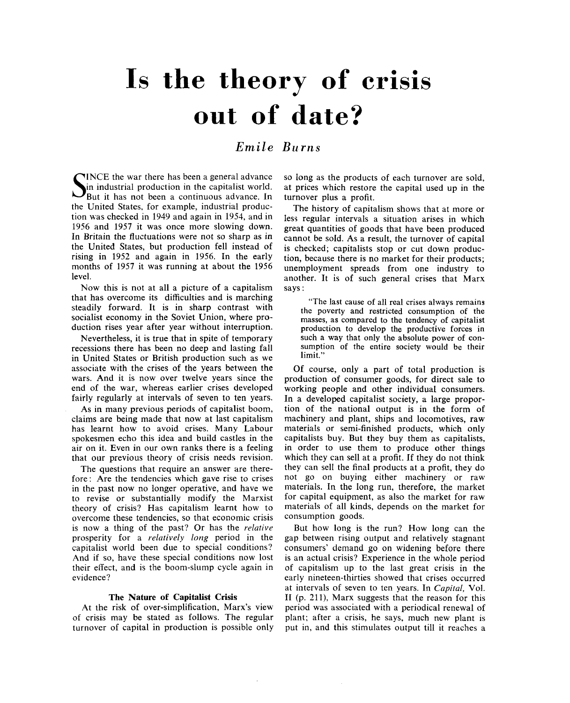# Is the theory of crisis out of date?

# *Emile Burns*

SINCE the war there has been a general advance<br>But it has not been a continuous advance. In<br>the state of the a continuous advance. In INCE the war there has been a general advance in industrial production in the capitalist world. the United States, for example, industrial production was checked in 1949 and again in 1954, and in 1956 and 1957 it was once more slowing down. In Britain the fluctuations were not so sharp as in the United States, but production fell instead of rising in 1952 and again in 1956. In the early months of 1957 it was running at about the 1956 level.

Now this is not at all a picture of a capitalism that has overcome its difficulties and is marching steadily forward. It is in sharp contrast with socialist economy in the Soviet Union, where production rises year after year without interruption.

Nevertheless, it is true that in spite of temporary recessions there has been no deep and lasting fall in United States or British production such as we associate with the crises of the years between the wars. And it is now over twelve years since the end of the war, whereas earlier crises developed fairly regularly at intervals of seven to ten years.

As in many previous periods of capitalist boom, claims are being made that now at last capitalism has learnt how to avoid crises. Many Labour spokesmen echo this idea and build castles in the air on it. Even in our own ranks there is a feeling that our previous theory of crisis needs revision.

The questions that require an answer are therefore : Are the tendencies which gave rise to crises in the past now no longer operative, and have we to revise or substantially modify the Marxist theory of crisis? Has capitalism learnt how to overcome these tendencies, so that economic crisis is now a thing of the past? Or has the *relative*  prosperity for a *relatively long* period in the capitalist world been due to special conditions? And if so, have these special conditions now lost their effect, and is the boom-slump cycle again in evidence?

# **The Nature of Capitalist Crisis**

At the risk of over-simplification, Marx's view of crisis may be stated as follows. The regular turnover of capital in production is possible only so long as the products of each turnover are sold, at prices which restore the capital used up in the turnover plus a profit.

The history of capitalism shows that at more or less regular intervals a situation arises in which great quantities of goods that have been produced cannot be sold. As a result, the turnover of capital is checked; capitalists stop or cut down production, because there is no market for their products; unemployment spreads from one industry to another. It is of such general crises that Marx says:

"The last cause of all real crises always remains the poverty and restricted consumption of the masses, as compared to the tendency of capitalist production to develop the productive forces in such a way that only the absolute power of consumption of the entire society would be their limit."

Of course, only a part of total production is production of consumer goods, for direct sale to working people and other individual consumers. In a developed capitalist society, a large proportion of the national output is in the form of machinery and plant, ships and locomotives, raw materials or semi-finished products, which only capitalists buy. But they buy them as capitalists, in order to use them to produce other things which they can sell at a profit. If they do not think they can sell the final products at a profit, they do not go on buying either machinery or raw materials. In the long run, therefore, the market for capital equipment, as also the market for raw materials of all kinds, depends on the market for consumption goods.

But how long is the run? How long can the gap between rising output and relatively stagnant consumers' demand go on widening before there is an actual crisis? Experience in the whole period of capitalism up to the last great crisis in the early nineteen-thirties showed that crises occurred at intervals of seven to ten years. In *Capital,* Vol. II (p. 211), Marx suggests that the reason for this period was associated with a periodical renewal of plant; after a crisis, he says, much new plant is put in, and this stimulates output till it reaches a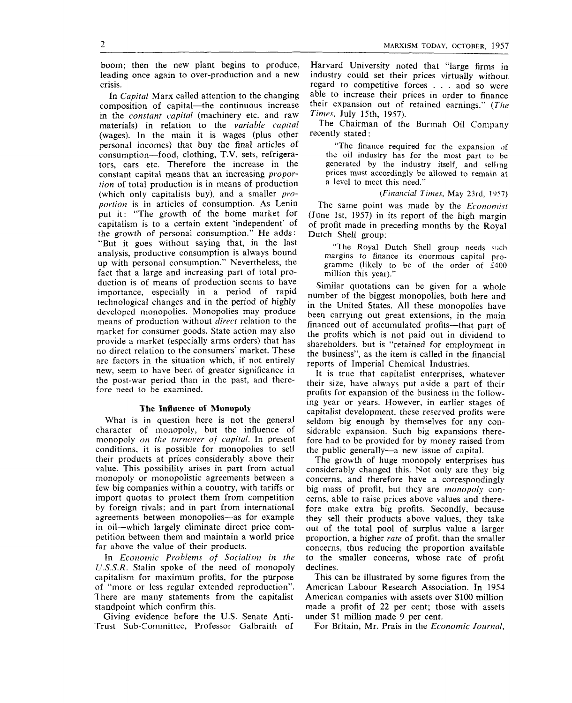boom; then the new plant begins to produce, leading once again to over-production and a new crisis.

In *Capital* Marx called attention to the changing composition of capital—the continuous increase in the *constant capital* (machinery etc. and raw materials) in relation to the *variable capital*  (wages). In the main it is wages (plus other personal incomes) that buy the final articles of consumption—food, clothing, T.V. sets, refrigerators, cars etc. Therefore the increase in the constant capital means that an increasing *proportion* of total production is in means of production (which only capitalists buy), and a smaller *proportion* is in articles of consumption. As Lenin put it: "The growth of the home market for capitalism is to a certain extent 'independent" of the growth of personal consumption." He adds: "But it goes without saying that, in the last analysis, productive consumption is always bound up with personal consumption." Nevertheless, the fact that a large and increasing part of total production is of means of production seems to have importance, especially in a period of rapid technological changes and in the period of highly developed monopolies. Monopolies may produce means of production without *direct* relation to the market for consumer goods. State action may also provide a market (especially arms orders) that has provide a market (especially arms orders) that has are the factors in the situation which is not entirely are factors in the situation which, if not emilitary the w, seem to have been of greater significance in the post-war period than in the past, and there-<br>fore need to be examined.

#### The Influence of Monopoly

What is in question here is not the general character of monopoly, but the influence of monopoly *on the turnover of capital.* In present conditions, it is possible for monopolies to sell their products at prices considerably above their value. This possibility arises in part from actual monopoly or monopolistic agreements between a few big companies within a country, with tariffs or import quotas to protect them from competition by foreign rivals; and in part from international agreements between monopolies—as for example in oil—which largely eliminate direct price competition between them and maintain a world price far above the value of their products.

In *Economic Problems of Socialism in the IJ.S.S.R.* Stalin spoke of the need of monopoly capitalism for maximum profits, for the purpose of "more or less regular extended reproduction". There are many statements from the capitalist standpoint which confirm this.

Giving evidence before the U.S. Senate Anti-Trust Sub-Committee, Professor Galbraith of

Harvard University noted that "large firms in industry could set their prices virtually without regard to competitive forces . . . and so were able to increase their prices in order to finance their expansion out of retained earnings." *{The Times,* luly 15th, 1957).

The Chairman of the Burmah Oil Company recently stated:

"The finance required for the expansion of the oil industry has for the most part to be generated by the industry itself, and selling prices must accordingly be allowed to remain at a level to meet this need."

### *(Financial Times,* May 23rd, 1957)

The same point was made by the *Economist*  (June 1st, 1957) in its report of the high margin of profit made in preceding months by the Royal Dutch Shell group:

"The Royal Dutch Shell group needs such margins to finance its enormous capital programme (likely to be of the order of £400 million this year)."

Similar quotations can be given for a whole number of the biggest monopolies, both here and in the United States. All these monopolies have been carrying out great extensions, in the main financed out of accumulated profits—that part of the profits which is not paid out in dividend to shareholders, but is "retained for employment in the business", as the item is called in the financial reports of Imperial Chemical Industries.

It is true that capitalist enterprises, whatever their size, have always put aside a part of their profits for expansion of the business in the following year or years. However, in earlier stages of capitalist development, these reserved profits were seldom big enough by themselves for any considerable expansion. Such big expansions therefore had to be provided for by money raised from the public generally—a new issue of capital.

The growth of huge monopoly enterprises has considerably changed this. Not only are they big concerns, and therefore have a correspondingly big mass of profit, but they are *monopoly* concerns, able to raise prices above values and therefore make extra big profits. Secondly, because they sell their products above values, they take out of the total pool of surplus value a larger proportion, a higher *rate* of profit, than the smaller concerns, thus reducing the proportion available to the smaller concerns, whose rate of profit declines.

This can be illustrated by some figures from the American Labour Research Association. In 1954 American companies with assets over \$100 million made a profit of 22 per cent; those with assets under SI miUion made 9 per cent.

For Britain, Mr. Prais in the *Economic Journal,* 

 $\overline{2}$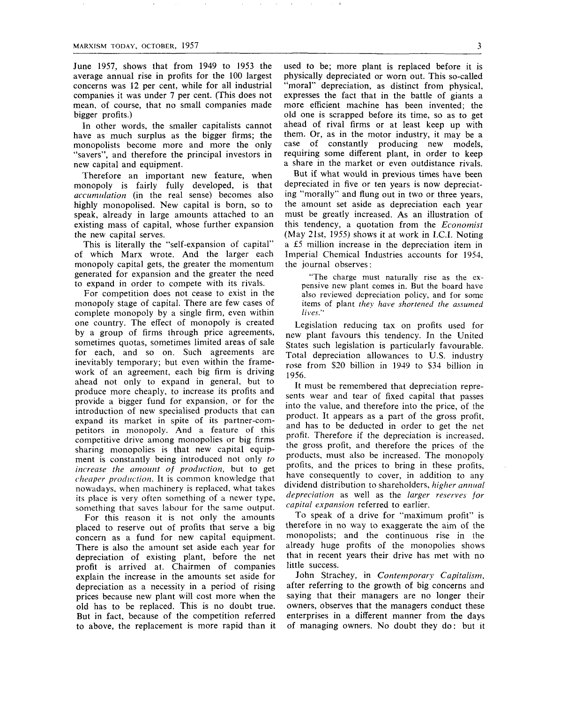June 1957, shows that from 1949 to 1953 the average annual rise in profits for the 100 largest concerns was 12 per cent, while for all industrial companies it was under 7 per cent. (This does not mean, of course, that no small companies made bigger profits.)

In other words, the smaller capitalists cannot have as much surplus as the bigger firms; the monopolists become more and more the only "savers", and therefore the principal investors in new capital and equipment.

Therefore an important new feature, when monopoly is fairly fully developed, is that *accumulation* (in the real sense) becomes also highly monopolised. New capital is born, so to speak, already in large amounts attached to an existing mass of capital, whose further expansion the new capital serves.

This is literally the "self-expansion of capital" of which Marx wrote. And the larger each monopoly capital gets, the greater the momentum generated for expansion and the greater the need to expand in order to compete with its rivals.

For competition does not cease to exist in the monopoly stage of capital. There are few cases of complete monopoly by a single firm, even within one country. The effect of monopoly is created by a group of firms through price agreements, sometimes quotas, sometimes limited areas of sale for each, and so on. Such agreements are inevitably temporary; but even within the framework of an agreement, each big firm is driving ahead not only to expand in general, but to produce more cheaply, to increase its profits and provide a bigger fund for expansion, or for the introduction of new specialised products that can expand its market in spite of its partner-competitors in monopoly. And a feature of this competitive drive among monopolies or big firms sharing monopolies is that new capital equipment is constantly being introduced not only *to increase the amount of production,* but to get *cheaper production.* It is common knowledge that nowadays, when machinery is replaced, what takes its place is very often something of a newer type, something that saves labour for the same output.

For this reason it is not only the amounts placed to reserve out of profits that serve a big concern as a fund for new capital equipment. There is also the amount set aside each year for depreciation of existing plant, before the net profit is arrived at. Chairmen of companies explain the increase in the amounts set aside for depreciation as a necessity in a period of rising prices because new plant will cost more when the old has to be replaced. This is no doubt true. But in fact, because of the competition referred to above, the replacement is more rapid than it used to be; more plant is replaced before it is physically depreciated or worn out. This so-called "moral" depreciation, as distinct from physical, expresses the fact that in the battle of giants a more efficient machine has been invented; the old one is scrapped before its time, so as to get ahead of rival firms or at least keep up with them. Or, as in the motor industry, it may be a case of constantly producing new models, requiring some different plant, in order to keep a share in the market or even outdistance rivals.

But if what would in previous times have been depreciated in five or ten years is now depreciating "morally" and flung out in two or three years, the amount set aside as depreciation each year must be greatly increased. As an illustration of this tendency, a quotation from the *Economist*  (May 21st, 1955) shows it at work in I.C.I. Noting a £5 million increase in the depreciation item in Imperial Chemical Industries accounts for 1954, the journal observes:

"The charge must naturally rise as the expensive new plant comes in. But the board have also reviewed depreciation policy, and for some items of plant *they have shortened llie assumed lives."* 

Legislation reducing tax on profits used for new plant favours this tendency. In the United States such legislation is particularly favourable. Total depreciation allowances to U.S. industry rose from \$20 billion in 1949 to \$34 billion in 1956.

It must be remembered that depreciation represents wear and tear of fixed capital that passes into the value, and therefore into the price, of the product. It appears as a part of the gross profit, and has to be deducted in order to get the net profit. Therefore if the depreciation is increased, the gross profit, and therefore the prices of the products, must also be increased. The monopoly profits, and the prices to bring in these profits, have consequently to cover, in addition to any dividend distribution to shareholders, *higher annual depreciation* as well as the *larger reserves for capital expansion* referred to earlier.

To speak of a drive for "maximum profit" is therefore in no way to exaggerate the aim of the monopolists; and the continuous rise in the already huge profits of the monopolies shows that in recent years their drive has met with no little success.

John Strachey, in *Contemporary Capitalism,*  after referring to the growth of big concerns and saying that their managers are no longer their owners, observes that the managers conduct these enterprises in a different manner from the days of managing owners. No doubt they do: but it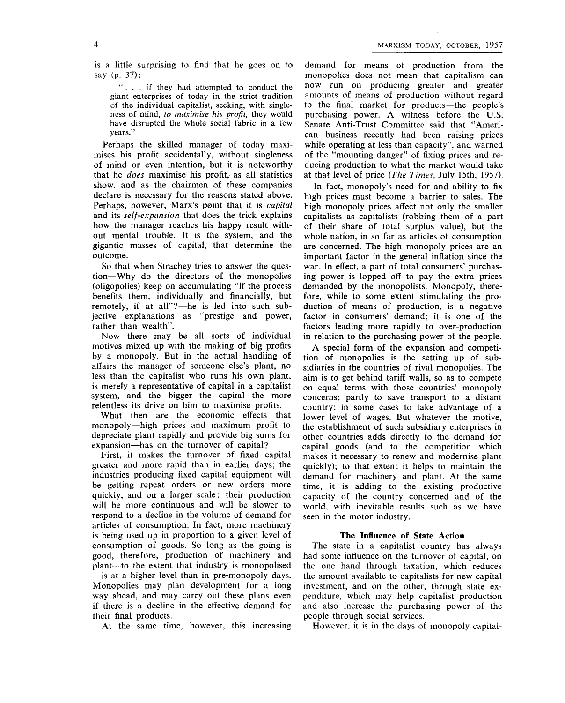is a little surprising to find that he goes on to say (p. 37):

".. . if they had attempted to conduct the giant enterprises of today in the strict tradition of the individual capitalist, seeking, with singleness of mind, *to maximise his profit,* they would have disrupted the whole social fabric in a few years."

Perhaps the skilled manager of today maximises his profit accidentally, without singleness of mind or even intention, but it is noteworthy that he *does* maximise his profit, as all statistics show, and as the chairmen of these companies declare is necessary for the reasons stated above. Perhaps, however, Marx's point that it is *capital*  and its *self-expansion* that does the trick explains how the manager reaches his happy result without mental trouble. It is the system, and the gigantic masses of capital, that determine the outcome.

So that when Strachey tries to answer the question—Why do the directors of the monopolies (oligopolies) keep on accumulating "if the process benefits them, individually and financially, but remotely, if at all"?—he is led into such subjective explanations as "prestige and power, rather than wealth".

Now there may be all sorts of individual motives mixed up with the making of big profits by a monopoly. But in the actual handling of affairs the manager of someone else's plant, no less than the capitalist who runs his own plant, is merely a representative of capital in a capitalist system, and the bigger the capital the more relentless its drive on him to maximise profits.

What then are the economic effects that monopoly—high prices and maximum profit to depreciate plant rapidly and provide big sums for expansion—has on the turnover of capital?

First, it makes the turnover of fixed capital greater and more rapid than in earlier days; the industries producing fixed capital equipment will be getting repeat orders or new orders more quickly, and on a larger scale: their production will be more continuous and will be slower to respond to a decline in the volume of demand for articles of consumption. In fact, more machinery is being used up in proportion to a given level of consumption of goods. So long as the going is good, therefore, production of machinery and plant—to the extent that industry is monopolised —is at a higher level than in pre-monopoly days. Monopolies may plan development for a long way ahead, and may carry out these plans even if there is a decline in the effective demand for their final products.

At the same time, however, this increasing

demand for means of production from the monopolies does not mean that capitalism can now run on producing greater and greater amounts of means of production without regard to the final market for products—the people's purchasing power. A witness before the U.S. Senate Anti-Trust Committee said that "American business recently had been raising prices while operating at less than capacity", and warned of the "mounting danger" of fixing prices and reducing production to what the market would take at that level of price *{The Times,* July 15th, 1957).

In fact, monopoly's need for and ability to fix high prices must become a barrier to sales. The high monopoly prices affect not only the smaller capitalists as capitalists (robbing them of a part of their share of total surplus value), but the whole nation, in so far as articles of consumption are concerned. The high monopoly prices are an important factor in the general inflation since the war. In effect, a part of total consumers' purchasing power is lopped off to pay the extra prices demanded by the monopolists. Monopoly, therefore, while to some extent stimulating the production of means of production, is a negative factor in consumers' demand; it is one of the factors leading more rapidly to over-production in relation to the purchasing power of the people.

A special form of the expansion and competition of monopolies is the setting up of subsidiaries in the countries of rival monopolies. The aim is to get behind tariff walls, so as to compete on equal terms with those countries' monopoly concerns; partly to save transport to a distant country; in some cases to take advantage of a lower level of wages. But whatever the motive, the establishment of such subsidiary enterprises in other countries adds directly to the demand for capital goods (and to the competition which makes it necessary to renew and modernise plant quickly); to that extent it helps to maintain the demand for machinery and plant. At the same time, it is adding to the existing productive capacity of the country concerned and of the world, with inevitable results such as we have seen in the motor industry.

# **The Influence of State Action**

The state in a capitalist country has always had some influence on the turnover of capital, on the one hand through taxation, which reduces the amount available to capitalists for new capital investment, and on the other, through state expenditure, which may help capitalist production and also increase the purchasing power of the people through social services.

However, it is in the days of monopoly capital-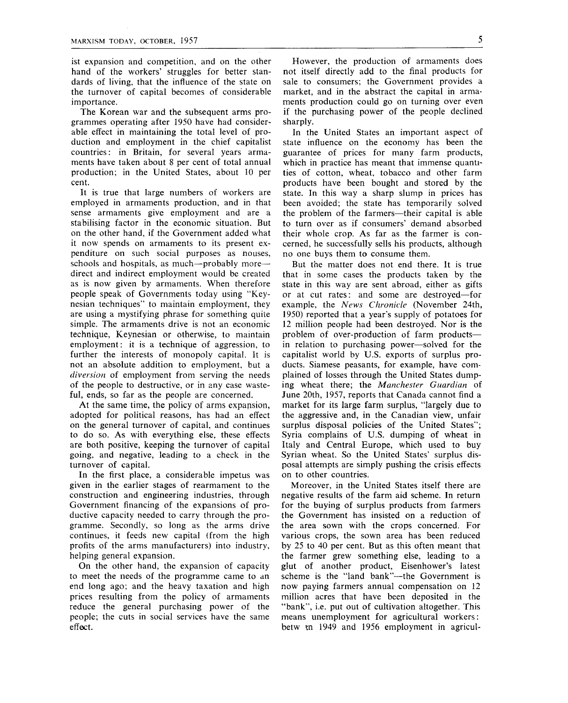ist expansion and competition, and on the other hand of the workers' struggles for better standards of living, that the influence of the state on the turnover of capital becomes of considerable importance.

The Korean war and the subsequent arms programmes operating after 1950 have had considerable effect in maintaining the total level of production and employment in the chief capitalist countries: in Britain, for several years armaments have taken about 8 per cent of total annual production; in the United States, about 10 per cent.

It is true that large numbers of workers are employed in armaments production, and in that sense armaments give employment and are a stabilising factor in the economic situation. But on the other hand, if the Government added what it now spends on armaments to its present expenditure on such social purposes as nouses, schools and hospitals, as much—probably more direct and indirect employment would be created as is now given by armaments. When therefore people speak of Governments today using "Keynesian techniques" to maintain employment, they are using a mystifying phrase for something quite simple. The armaments drive is not an economic technique, Keynesian or otherwise, to maintain employment: it is a technique of aggression, to further the interests of monopoly capital. It is not an absolute addition to employment, but a *diversion* of employment from serving the needs of the people to destructive, or in any case wasteful, ends, so far as the people are concerned.

At the same time, the policy of arms expansion, adopted for political reasons, has had an effect on the general turnover of capital, and continues to do so. As with everything else, these effects are both positive, keeping the turnover of capital going, and negative, leading to a check in the turnover of capital.

In the first place, a considerable impetus was given in the earlier stages of rearmament to the construction and engineering industries, through Government financing of the expansions of productive capacity needed to carry through the programme. Secondly, so long as the arms drive continues, it feeds new capital (from the high profits of the arms manufacturers) into industry, helping general expansion.

On the other hand, the expansion of capacity to meet the needs of the programme came to an end long ago; and the heavy taxation and high prices resulting from the policy of armaments reduce the general purchasing power of the people; the cuts in social services have the same effect.

However, the production of armaments does not itself directly add to the final products for sale to consumers; the Government provides a market, and in the abstract the capital in armaments production could go on turning over even if the purchasing power of the people declined sharply.

In the United States an important aspect of state influence on the economy has been the guarantee of prices for many farm products, which in practice has meant that immense quantities of cotton, wheat, tobacco and other farm products have been bought and stored by the state. In this way a sharp slump in prices has been avoided; the state has temporarily solved the problem of the farmers—their capital is able to turn over as if consumers' demand absorbed their whole crop. As far as the farmer is concerned, he successfully sells his products, although no one buys them to consume them.

But the matter does not end there. It is true that in some cases the products taken by the state in this way are sent abroad, either as gifts or at cut rates: and some are destroyed—for example, the *News Chronicle* (November 24th, 1950) reported that a year's supply of potatoes for 12 million people had been destroyed. Nor is the problem of over-production of farm products in relation to purchasing power—solved for the capitalist world by U.S. exports of surplus products. Siamese peasants, for example, have complained of losses through the United States dumping wheat there; the *Manchester Guardian* of June 20th, 1957, reports that Canada cannot find a market for its large farm surplus, "largely due to the aggressive and, in the Canadian view, unfair surplus disposal policies of the United States"; Syria complains of U.S. dumping of wheat in Italy and Central Europe, which used to buy Syrian wheat. So the United States' surplus disposal attempts are simply pushing the crisis effects on to other countries.

Moreover, in the United States itself there are negative results of the farm aid scheme. In return for the buying of surplus products from farmers the Government has insisted on a reduction of the area sown with the crops concerned. For various crops, the sown area has been reduced by 25 to 40 per cent. But as this often meant that the farmer grew something else, leading to a glut of another product, Eisenhower's latest scheme is the "land bank"—the Government is now paying farmers annual compensation on 12 million acres that have been deposited in the "bank", i.e. put out of cultivation altogether. This means unemployment for agricultural workers: betw m 1949 and 1956 employment in agricul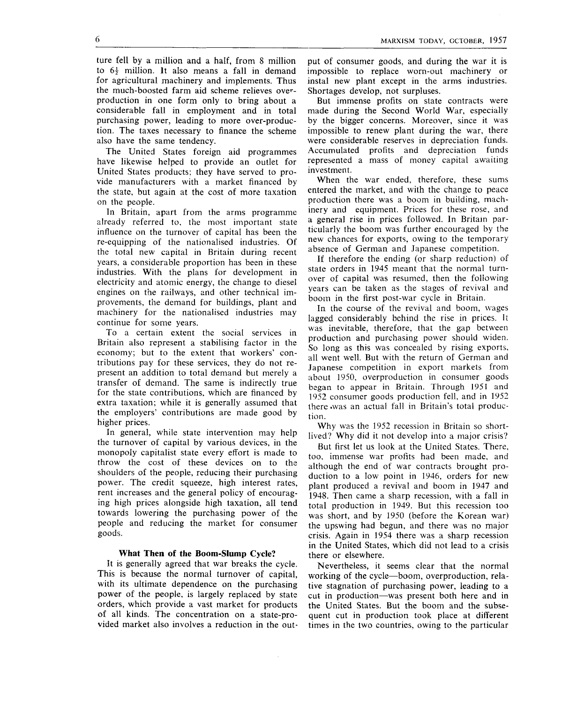ture fell by a million and a half, from 8 million to  $6\frac{1}{2}$  million. It also means a fall in demand for agricultural machinery and implements. Thus the much-boosted farm aid scheme relieves overproduction in one form only to bring about a considerable fall in employment and in total purchasing power, leading to more over-production. The taxes necessary to finance the scheme also have the same tendency.

The United States foreign aid programmes have likewise helped to provide an outlet for United States products; they have served to provide manufacturers with a market financed by the state, but again at the cost of more taxation on the people.

In Britain, apart from the arms programme already referred to, the most important state influence on the turnover of capital has been the re-equipping of the nationalised industries. Of the total new capital in Britain during recent years, a considerable proportion has been in these industries. With the plans for development in electricity and atomic energy, the change to diesel engines on the railways, and other technical improvements, the demand for buildings, plant and machinery for the nationalised industries may continue for some years.

To a certain extent the social services in Britain also represent a stabilising factor in the economy; but to the extent that workers' contributions pay for these services, they do not represent an addition to total demand but merely a transfer of demand. The same is indirectly true for the state contributions, which are financed by extra taxation; while it is generally assumed that the employers' contributions are made good by higher prices.

In general, while state intervention may help the turnover of capital by various devices, in the monopoly capitalist state every effort is made to throw the cost of these devices on to the shoulders of the people, reducing their purchasing power. The credit squeeze, high interest rates, rent increases and the general policy of encouraging high prices alongside high taxation, all tend towards lowering the purchasing power of the people and reducing the market for consumer goods.

# **What Then of the Boom-Slump Cycle?**

It is generally agreed that war breaks the cycle. This is because the normal turnover of capital, with its ultimate dependence on the purchasing power of the people, is largely replaced by state orders, which provide a vast market for products of all kinds. The concentration on a state-provided market also involves a reduction in the out-

put of consumer goods, and during the war it is impossible to replace worn-out machinery or instal new plant except in the arms industries. Shortages develop, not surpluses.

But immense profits on state contracts were made during the Second World War, especially by the bigger concerns. Moreover, since it was impossible to renew plant during the war, there were considerable reserves in depreciation funds. Accumulated profits and depreciation funds represented a mass of money capital awaiting investment.

When the war ended, therefore, these sums entered the market, and with the change to peace production there was a boom in building, machinery and equipment. Prices for these rose, and a general rise in prices followed. In Britam particularly the boom was further encouraged by the new chances for exports, owing to the temporary absence of German and Japanese competition.

If therefore the ending (or sharp reduction) of state orders in 1945 meant that the normal turnover of capital was resumed, then the following years can be taken as the stages of revival and boom in the first post-war cycle in Britain.

In the course of the revival and boom, wages lagged considerably behind the rise in prices. It was inevitable, therefore, that the gap between production and purchasing power should widen. So long as this was concealed by rising exports, all went well. But with the return of German and Japanese competition in export markets from about 1950, overproduction in consumer goods began to appear in Britain. Through 1951 and 1952 consumer goods production fell, and in 1952 there .was an actual fall in Britain's total production.

Why was the 1952 recession in Britain so shortlived? Why did it not develop into a major crisis?

But first let us look at the United States. There, too, immense war profits had been made, and although the end of war contracts brought production to a low point in 1946, orders for newplant produced a revival and boom in 1947 and 1948. Then came a sharp recession, with a fall in total production in 1949, But this recession too was short, and by 1950 (before the Korean war) the upswing had begun, and there was no major crisis. Again in 1954 there was a sharp recession in the United States, which did not lead to a crisis there or elsewhere.

Nevertheless, it seems clear that the normal working of the cycle—boom, overproduction, relative stagnation of purchasing power, leading to a cut in production—was present both here and in the United States. But the boom and the subsequent cut in production took place at different times in the two countries, owing to the particular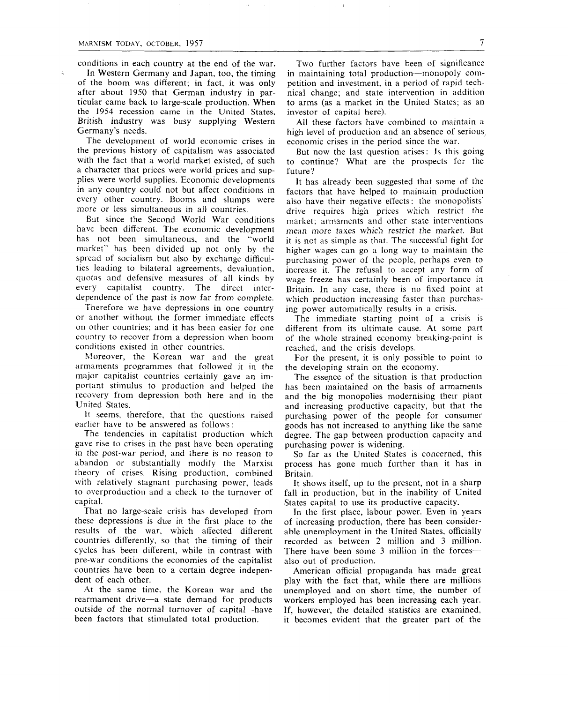conditions in each country at the end of the war.

In Western Germany and Japan, too, the timing of the boom was different; in fact, it was only after about 1950 that German industry in particular came back to large-scale production. When the 1954 recession came in the United States, British industry was busy supplying Western Germany's needs.

The development of world economic crises in the previous history of capitalism was associated with the fact that a world market existed, of such a character that prices were world prices and supplies were world supplies. Economic developments in any country could not but affect conditions in every other country. Booms and slumps were more or less simultaneous in all countries.

But since the Second World War conditions have been different. The economic development has not been simultaneous, and the "world market"' has been divided up not only by the spread of socialism but also by exchange difficulties leading to bilateral agreements, devaluation, quotas and defensive measures of all kinds by every capitalist country. The direct interdependence of the past is now far from complete.

Therefore we have depressions in one country or another without the former immediate effects on other countries; and it has been easier for one country to recover from a depression when boom conditions existed in other countries.

Moreover, the Korean war and the great armaments programmes that followed it in the major capitalist countries certainly gave an important stimulus to production and helped the recovery from depression both here and in the United States.

It seems, therefore, that the questions raised earlier have to be answered as follows:

The tendencies in capitalist production which gave rise to crises in the past have been operating in the post-war period, and there is no reason to abandon or substantially modify the Marxist theory of crises. Rising production, combined with relatively stagnant purchasing power, leads to overproduction and a check to the turnover of capital.

That no large-scale crisis has developed from these depressions is due in the first place to the results of the war, which affected different countries differently, so that the timing of their cycles has been different, while in contrast with pre-war conditions the economies of the capitalist countries have been to a certain degree independent of each other.

At the same time, the Korean war and the rearmament drive—a state demand for products outside of the normal turnover of capital—have been factors that stimulated total production.

Two further factors have been of significance in maintaining total production—monopoly competition and investment, in a period of rapid technical change; and state intervention in addition to arms (as a market in the United States; as an investor of capital here).

All these factors have combined to maintain a high level of production and an absence of serious economic crises in the period since the war.

But now the last question arises: Is this going to continue? What are the prospects for the future?

It has already been suggested that some of the factors that have helped to maintain production also have their negative effects: the monopolists' drive requires high prices which restrict the market; armaments and other state interventions mean more taxes which restrict the market. But it is not as simple as that. The successful fight for higher wages can go a long way to maintain the purchasing power of the people, perhaps even to increase it. The refusal to accept any form of wage freeze has certainly been of importance in Britain. In any case, there is no fixed point at which production increasing faster than purchasing power automatically results in a crisis.

The immediate starting point of a crisis is different from its ultimate cause. At some part of the whole strained economy breaking-point is reached, and the crisis develops.

For the present, it is only possible to point to the developing strain on the economy.

The essence of the situation is that production has been maintained on the basis of armaments and the big monopolies modernising their plant and increasing productive capacity, but that the purchasing power of the people for consumer goods has not increased to anything like the same degree. The gap between production capacity and purchasing power is widening.

So far as the United States is concerned, this process has gone much further than it has in Britain.

It shows itself, up to the present, not in a sharp fall in production, but in the inability of United States capital to use its productive capacity.

In the first place, labour power. Even in years of increasing production, there has been considerable unemployment in the United States, officially recorded as between 2 million and 3 million. There have been some 3 million in the forces also out of production.

American official propaganda has made great play with the fact that, while there are millions unemployed and on short time, the number of workers employed has been increasing each year. If, however, the detailed statistics are examined, it becomes evident that the greater part of the